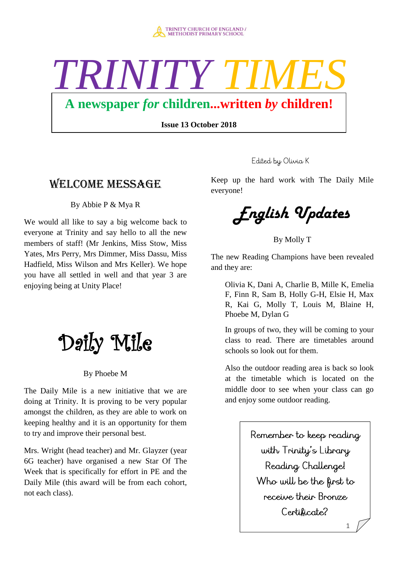

# *TRINITY TIMES* **A newspaper** *for* **children...written** *by* **children!**

**Issue 13 October 2018**

WELCOME MESSAGE

By Abbie P & Mya R

We would all like to say a big welcome back to everyone at Trinity and say hello to all the new members of staff! (Mr Jenkins, Miss Stow, Miss Yates, Mrs Perry, Mrs Dimmer, Miss Dassu, Miss Hadfield, Miss Wilson and Mrs Keller). We hope you have all settled in well and that year 3 are enjoying being at Unity Place!

## Daily Mile

#### By Phoebe M

The Daily Mile is a new initiative that we are doing at Trinity. It is proving to be very popular amongst the children, as they are able to work on keeping healthy and it is an opportunity for them to try and improve their personal best.

Mrs. Wright (head teacher) and Mr. Glayzer (year 6G teacher) have organised a new Star Of The Week that is specifically for effort in PE and the Daily Mile (this award will be from each cohort, not each class).

Edited by Olivia K

Keep up the hard work with The Daily Mile everyone!

*English Updates*

By Molly T

The new Reading Champions have been revealed and they are:

Olivia K, Dani A, Charlie B, Mille K, Emelia F, Finn R, Sam B, Holly G-H, Elsie H, Max R, Kai G, Molly T, Louis M, Blaine H, Phoebe M, Dylan G

In groups of two, they will be coming to your class to read. There are timetables around schools so look out for them.

Also the outdoor reading area is back so look at the timetable which is located on the middle door to see when your class can go and enjoy some outdoor reading.

> Remember to keep reading with Trinity's Library Reading Challenge! Who will be the first to receive their Bronze Certificate?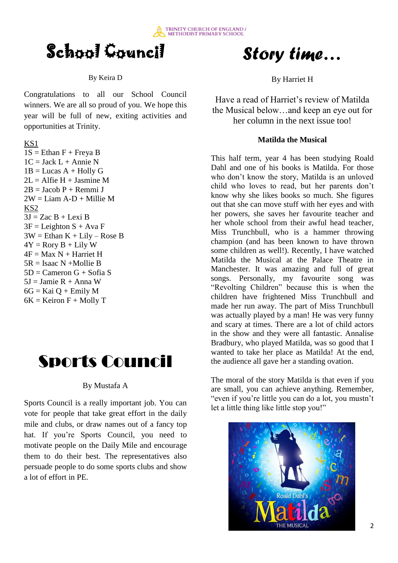TRINITY CHURCH OF ENGLAND /<br>METHODIST PRIMARY SCHOOL



#### By Keira D

Congratulations to all our School Council winners. We are all so proud of you. We hope this year will be full of new, exiting activities and opportunities at Trinity.

#### KS1

 $1S =$ Ethan F + Freya B  $1C = Jack L + Annie N$  $1B = Lucas A + Holly G$  $2L =$  Alfie H + Jasmine M  $2B = Jacob P + Remmi J$  $2W =$ Liam A-D + Millie M KS2  $3J = Zac B + Lexi B$  $3F =$ Leighton  $S +$ Ava F  $3W =$ Ethan K + Lily – Rose B  $4Y = Rory B + Lily W$  $4F = Max N + Harriet H$ 5R = Isaac N +Mollie B  $5D =$ Cameron  $G +$ Sofia S  $5J =$ Jamie R + Anna W  $6G =$ Kai  $Q +$ Emily M  $6K =$  Keiron  $F +$  Molly T



#### By Mustafa A

Sports Council is a really important job. You can vote for people that take great effort in the daily mile and clubs, or draw names out of a fancy top hat. If you're Sports Council, you need to motivate people on the Daily Mile and encourage them to do their best. The representatives also persuade people to do some sports clubs and show a lot of effort in PE.



By Harriet H

Have a read of Harriet's review of Matilda the Musical below…and keep an eye out for her column in the next issue too!

#### **Matilda the Musical**

This half term, year 4 has been studying Roald Dahl and one of his books is Matilda. For those who don't know the story, Matilda is an unloved child who loves to read, but her parents don't know why she likes books so much. She figures out that she can move stuff with her eyes and with her powers, she saves her favourite teacher and her whole school from their awful head teacher, Miss Trunchbull, who is a hammer throwing champion (and has been known to have thrown some children as well!). Recently, I have watched Matilda the Musical at the Palace Theatre in Manchester. It was amazing and full of great songs. Personally, my favourite song was "Revolting Children" because this is when the children have frightened Miss Trunchbull and made her run away. The part of Miss Trunchbull was actually played by a man! He was very funny and scary at times. There are a lot of child actors in the show and they were all fantastic. Annalise Bradbury, who played Matilda, was so good that I wanted to take her place as Matilda! At the end, the audience all gave her a standing ovation.

The moral of the story Matilda is that even if you are small, you can achieve anything. Remember, "even if you're little you can do a lot, you mustn't let a little thing like little stop you!"

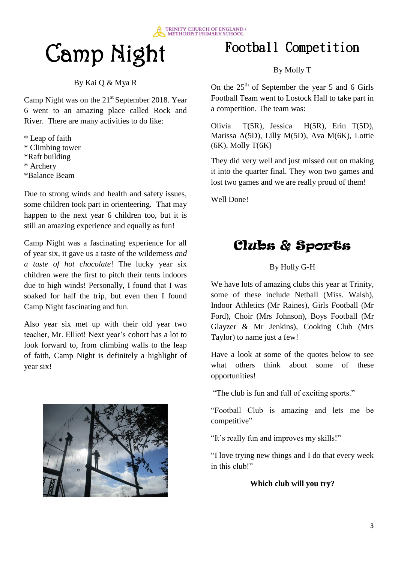TRINITY CHURCH OF ENGLAND /<br>METHODIST PRIMARY SCHOOL

# Camp Night

#### By Kai Q & Mya R

Camp Night was on the  $21<sup>st</sup>$  September 2018. Year 6 went to an amazing place called Rock and River. There are many activities to do like:

\* Leap of faith \* Climbing tower \*Raft building \* Archery \*Balance Beam

Due to strong winds and health and safety issues, some children took part in orienteering. That may happen to the next year 6 children too, but it is still an amazing experience and equally as fun!

Camp Night was a fascinating experience for all of year six, it gave us a taste of the wilderness *and a taste of hot chocolate*! The lucky year six children were the first to pitch their tents indoors due to high winds! Personally, I found that I was soaked for half the trip, but even then I found Camp Night fascinating and fun.

Also year six met up with their old year two teacher, Mr. Elliot! Next year's cohort has a lot to look forward to, from climbing walls to the leap of faith, Camp Night is definitely a highlight of year six!



## Football Competition

#### By Molly T

On the  $25<sup>th</sup>$  of September the year 5 and 6 Girls Football Team went to Lostock Hall to take part in a competition. The team was:

Olivia T(5R), Jessica H(5R), Erin T(5D), Marissa A(5D), Lilly M(5D), Ava M(6K), Lottie  $(6K)$ , Molly T $(6K)$ 

They did very well and just missed out on making it into the quarter final. They won two games and lost two games and we are really proud of them!

Well Done!

## Clubs & Sports

#### By Holly G-H

We have lots of amazing clubs this year at Trinity, some of these include Netball (Miss. Walsh), Indoor Athletics (Mr Raines), Girls Football (Mr Ford), Choir (Mrs Johnson), Boys Football (Mr Glayzer & Mr Jenkins), Cooking Club (Mrs Taylor) to name just a few!

Have a look at some of the quotes below to see what others think about some of these opportunities!

"The club is fun and full of exciting sports."

"Football Club is amazing and lets me be competitive"

"It's really fun and improves my skills!"

"I love trying new things and I do that every week in this club!"

#### **Which club will you try?**